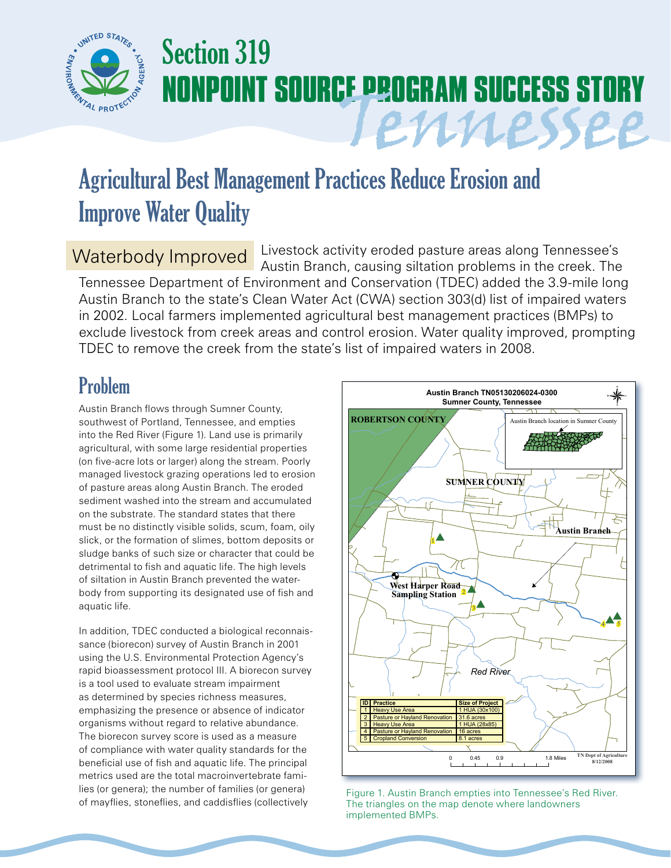

# Section 319 **NONPOINT SOURCE PROGRAM SUCCESS STORY** Tennessee

## Agricultural Best Management Practices Reduce Erosion and Improve Water Quality

#### Waterbody Improved

Livestock activity eroded pasture areas along Tennessee's Austin Branch, causing siltation problems in the creek. The Tennessee Department of Environment and Conservation (TDEC) added the 3.9-mile long Austin Branch to the state's Clean Water Act (CWA) section 303(d) list of impaired waters in 2002. Local farmers implemented agricultural best management practices (BMPs) to exclude livestock from creek areas and control erosion. Water quality improved, prompting TDEC to remove the creek from the state's list of impaired waters in 2008.

### Problem

Austin Branch flows through Sumner County, southwest of Portland, Tennessee, and empties into the Red River (Figure 1). Land use is primarily agricultural, with some large residential properties (on five-acre lots or larger) along the stream. Poorly managed livestock grazing operations led to erosion of pasture areas along Austin Branch. The eroded sediment washed into the stream and accumulated on the substrate. The standard states that there must be no distinctly visible solids, scum, foam, oily slick, or the formation of slimes, bottom deposits or sludge banks of such size or character that could be detrimental to fish and aquatic life. The high levels of siltation in Austin Branch prevented the waterbody from supporting its designated use of fish and aquatic life.

In addition, TDEC conducted a biological reconnaissance (biorecon) survey of Austin Branch in 2001 using the U.S. Environmental Protection Agency's rapid bioassessment protocol III. A biorecon survey is a tool used to evaluate stream impairment as determined by species richness measures, emphasizing the presence or absence of indicator organisms without regard to relative abundance. The biorecon survey score is used as a measure of compliance with water quality standards for the beneficial use of fish and aquatic life. The principal metrics used are the total macroinvertebrate families (or genera); the number of families (or genera) of mayflies, stoneflies, and caddisflies (collectively



Figure 1. Austin Branch empties into Tennessee's Red River. The triangles on the map denote where landowners implemented BMPs.